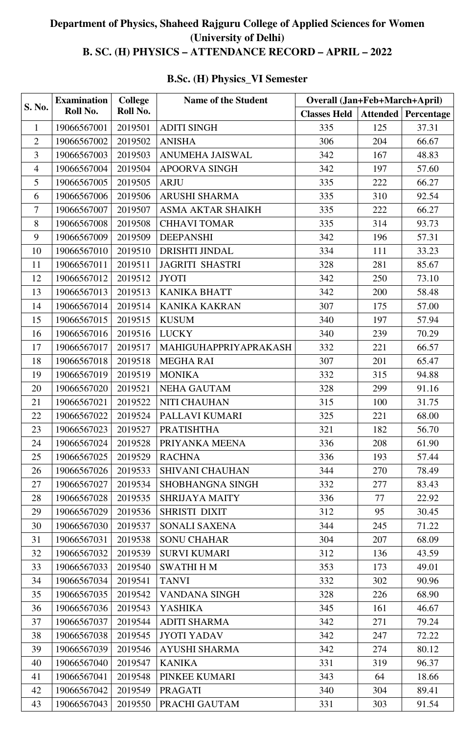## **Department of Physics, Shaheed Rajguru College of Applied Sciences for Women (University of Delhi) B. SC. (H) PHYSICS – ATTENDANCE RECORD – APRIL – 2022**

## **B.Sc. (H) Physics\_VI Semester**

|                | <b>Examination</b><br>Roll No. | <b>College</b><br>Roll No. | <b>Name of the Student</b> | <b>Overall (Jan+Feb+March+April)</b> |     |                              |  |
|----------------|--------------------------------|----------------------------|----------------------------|--------------------------------------|-----|------------------------------|--|
| <b>S. No.</b>  |                                |                            |                            | <b>Classes Held</b>                  |     | <b>Attended   Percentage</b> |  |
| $\mathbf{1}$   | 19066567001                    | 2019501                    | <b>ADITI SINGH</b>         | 335                                  | 125 | 37.31                        |  |
| $\overline{2}$ | 19066567002                    | 2019502                    | <b>ANISHA</b>              | 306                                  | 204 | 66.67                        |  |
| $\overline{3}$ | 19066567003                    | 2019503                    | <b>ANUMEHA JAISWAL</b>     | 342                                  | 167 | 48.83                        |  |
| $\overline{4}$ | 19066567004                    | 2019504                    | <b>APOORVA SINGH</b>       | 342                                  | 197 | 57.60                        |  |
| 5              | 19066567005                    | 2019505                    | <b>ARJU</b>                | 335                                  | 222 | 66.27                        |  |
| 6              | 19066567006                    | 2019506                    | <b>ARUSHI SHARMA</b>       | 335                                  | 310 | 92.54                        |  |
| 7              | 19066567007                    | 2019507                    | <b>ASMA AKTAR SHAIKH</b>   | 335                                  | 222 | 66.27                        |  |
| 8              | 19066567008                    | 2019508                    | <b>CHHAVI TOMAR</b>        | 335                                  | 314 | 93.73                        |  |
| 9              | 19066567009                    | 2019509                    | <b>DEEPANSHI</b>           | 342                                  | 196 | 57.31                        |  |
| 10             | 19066567010                    | 2019510                    | DRISHTI JINDAL             | 334                                  | 111 | 33.23                        |  |
| 11             | 19066567011                    | 2019511                    | <b>JAGRITI SHASTRI</b>     | 328                                  | 281 | 85.67                        |  |
| 12             | 19066567012                    | 2019512                    | <b>JYOTI</b>               | 342                                  | 250 | 73.10                        |  |
| 13             | 19066567013                    | 2019513                    | <b>KANIKA BHATT</b>        | 342                                  | 200 | 58.48                        |  |
| 14             | 19066567014                    | 2019514                    | <b>KANIKA KAKRAN</b>       | 307                                  | 175 | 57.00                        |  |
| 15             | 19066567015                    | 2019515                    | <b>KUSUM</b>               | 340                                  | 197 | 57.94                        |  |
| 16             | 19066567016                    | 2019516                    | <b>LUCKY</b>               | 340                                  | 239 | 70.29                        |  |
| 17             | 19066567017                    | 2019517                    | MAHIGUHAPPRIYAPRAKASH      | 332                                  | 221 | 66.57                        |  |
| 18             | 19066567018                    | 2019518                    | MEGHA RAI                  | 307                                  | 201 | 65.47                        |  |
| 19             | 19066567019                    | 2019519                    | <b>MONIKA</b>              | 332                                  | 315 | 94.88                        |  |
| 20             | 19066567020                    | 2019521                    | <b>NEHA GAUTAM</b>         | 328                                  | 299 | 91.16                        |  |
| 21             | 19066567021                    | 2019522                    | <b>NITI CHAUHAN</b>        | 315                                  | 100 | 31.75                        |  |
| 22             | 19066567022                    | 2019524                    | PALLAVI KUMARI             | 325                                  | 221 | 68.00                        |  |
| 23             | 19066567023                    | 2019527                    | <b>PRATISHTHA</b>          | 321                                  | 182 | 56.70                        |  |
| 24             | 19066567024                    | 2019528                    | PRIYANKA MEENA             | 336                                  | 208 | 61.90                        |  |
| 25             | 19066567025                    | 2019529                    | <b>RACHNA</b>              | 336                                  | 193 | 57.44                        |  |
| 26             | 19066567026                    | 2019533                    | <b>SHIVANI CHAUHAN</b>     | 344                                  | 270 | 78.49                        |  |
| 27             | 19066567027                    | 2019534                    | SHOBHANGNA SINGH           | 332                                  | 277 | 83.43                        |  |
| 28             | 19066567028                    | 2019535                    | <b>SHRIJAYA MAITY</b>      | 336                                  | 77  | 22.92                        |  |
| 29             | 19066567029                    | 2019536                    | <b>SHRISTI DIXIT</b>       | 312                                  | 95  | 30.45                        |  |
| 30             | 19066567030                    | 2019537                    | SONALI SAXENA              | 344                                  | 245 | 71.22                        |  |
| 31             | 19066567031                    | 2019538                    | <b>SONU CHAHAR</b>         | 304                                  | 207 | 68.09                        |  |
| 32             | 19066567032                    | 2019539                    | <b>SURVI KUMARI</b>        | 312                                  | 136 | 43.59                        |  |
| 33             | 19066567033                    | 2019540                    | <b>SWATHI H M</b>          | 353                                  | 173 | 49.01                        |  |
| 34             | 19066567034                    | 2019541                    | <b>TANVI</b>               | 332                                  | 302 | 90.96                        |  |
| 35             | 19066567035                    | 2019542                    | <b>VANDANA SINGH</b>       | 328                                  | 226 | 68.90                        |  |
| 36             | 19066567036                    | 2019543                    | <b>YASHIKA</b>             | 345                                  | 161 | 46.67                        |  |
| 37             | 19066567037                    | 2019544                    | <b>ADITI SHARMA</b>        | 342                                  | 271 | 79.24                        |  |
| 38             | 19066567038                    | 2019545                    | <b>JYOTI YADAV</b>         | 342                                  | 247 | 72.22                        |  |
| 39             | 19066567039                    | 2019546                    | <b>AYUSHI SHARMA</b>       | 342                                  | 274 | 80.12                        |  |
| 40             | 19066567040                    | 2019547                    | <b>KANIKA</b>              | 331                                  | 319 | 96.37                        |  |
| 41             | 19066567041                    | 2019548                    | PINKEE KUMARI              | 343                                  | 64  | 18.66                        |  |
| 42             | 19066567042                    | 2019549                    | <b>PRAGATI</b>             | 340                                  | 304 | 89.41                        |  |
| 43             | 19066567043                    | 2019550                    | PRACHI GAUTAM              | 331                                  | 303 | 91.54                        |  |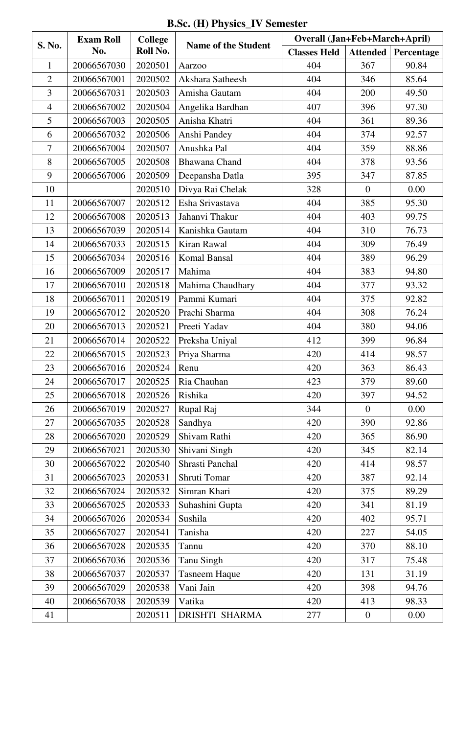**B.Sc. (H) Physics\_IV Semester** 

| <b>S. No.</b>  | <b>Exam Roll</b><br>No. | <b>College</b><br>Roll No. | <b>Name of the Student</b> | <b>Overall (Jan+Feb+March+April)</b> |                  |            |
|----------------|-------------------------|----------------------------|----------------------------|--------------------------------------|------------------|------------|
|                |                         |                            |                            | <b>Classes Held</b>                  | Attended         | Percentage |
| 1              | 20066567030             | 2020501                    | Aarzoo                     | 404                                  | 367              | 90.84      |
| $\overline{2}$ | 20066567001             | 2020502                    | Akshara Satheesh           | 404                                  | 346              | 85.64      |
| 3              | 20066567031             | 2020503                    | Amisha Gautam              | 404                                  | 200              | 49.50      |
| $\overline{4}$ | 20066567002             | 2020504                    | Angelika Bardhan           | 407                                  | 396              | 97.30      |
| 5              | 20066567003             | 2020505                    | Anisha Khatri              | 404                                  | 361              | 89.36      |
| 6              | 20066567032             | 2020506                    | Anshi Pandey               | 404                                  | 374              | 92.57      |
| 7              | 20066567004             | 2020507                    | Anushka Pal                | 404                                  | 359              | 88.86      |
| 8              | 20066567005             | 2020508                    | <b>Bhawana Chand</b>       | 404                                  | 378              | 93.56      |
| 9              | 20066567006             | 2020509                    | Deepansha Datla            | 395                                  | 347              | 87.85      |
| 10             |                         | 2020510                    | Divya Rai Chelak           | 328                                  | $\mathbf{0}$     | 0.00       |
| 11             | 20066567007             | 2020512                    | Esha Srivastava            | 404                                  | 385              | 95.30      |
| 12             | 20066567008             | 2020513                    | Jahanvi Thakur             | 404                                  | 403              | 99.75      |
| 13             | 20066567039             | 2020514                    | Kanishka Gautam            | 404                                  | 310              | 76.73      |
| 14             | 20066567033             | 2020515                    | Kiran Rawal                | 404                                  | 309              | 76.49      |
| 15             | 20066567034             | 2020516                    | <b>Komal Bansal</b>        | 404                                  | 389              | 96.29      |
| 16             | 20066567009             | 2020517                    | Mahima                     | 404                                  | 383              | 94.80      |
| 17             | 20066567010             | 2020518                    | Mahima Chaudhary           | 404                                  | 377              | 93.32      |
| 18             | 20066567011             | 2020519                    | Pammi Kumari               | 404                                  | 375              | 92.82      |
| 19             | 20066567012             | 2020520                    | Prachi Sharma              | 404                                  | 308              | 76.24      |
| 20             | 20066567013             | 2020521                    | Preeti Yadav               | 404                                  | 380              | 94.06      |
| 21             | 20066567014             | 2020522                    | Preksha Uniyal             | 412                                  | 399              | 96.84      |
| 22             | 20066567015             | 2020523                    | Priya Sharma               | 420                                  | 414              | 98.57      |
| 23             | 20066567016             | 2020524                    | Renu                       | 420                                  | 363              | 86.43      |
| 24             | 20066567017             | 2020525                    | Ria Chauhan                | 423                                  | 379              | 89.60      |
| 25             | 20066567018             | 2020526                    | Rishika                    | 420                                  | 397              | 94.52      |
| 26             | 20066567019             | 2020527                    | Rupal Raj                  | 344                                  | $\mathbf{0}$     | 0.00       |
| 27             | 20066567035             | 2020528                    | Sandhya                    | 420                                  | 390              | 92.86      |
| 28             | 20066567020             | 2020529                    | Shivam Rathi               | 420                                  | 365              | 86.90      |
| 29             | 20066567021             | 2020530                    | Shivani Singh              | 420                                  | 345              | 82.14      |
| 30             | 20066567022             | 2020540                    | Shrasti Panchal            | 420                                  | 414              | 98.57      |
| 31             | 20066567023             | 2020531                    | Shruti Tomar               | 420                                  | 387              | 92.14      |
| 32             | 20066567024             | 2020532                    | Simran Khari               | 420                                  | 375              | 89.29      |
| 33             | 20066567025             | 2020533                    | Suhashini Gupta            | 420                                  | 341              | 81.19      |
| 34             | 20066567026             | 2020534                    | Sushila                    | 420                                  | 402              | 95.71      |
| 35             | 20066567027             | 2020541                    | Tanisha                    | 420                                  | 227              | 54.05      |
| 36             | 20066567028             | 2020535                    | Tannu                      | 420                                  | 370              | 88.10      |
| 37             | 20066567036             | 2020536                    | <b>Tanu Singh</b>          | 420                                  | 317              | 75.48      |
| 38             | 20066567037             | 2020537                    | <b>Tasneem Haque</b>       | 420                                  | 131              | 31.19      |
| 39             | 20066567029             | 2020538                    | Vani Jain                  | 420                                  | 398              | 94.76      |
| 40             | 20066567038             | 2020539                    | Vatika                     | 420                                  | 413              | 98.33      |
| 41             |                         | 2020511                    | <b>DRISHTI SHARMA</b>      | 277                                  | $\boldsymbol{0}$ | 0.00       |